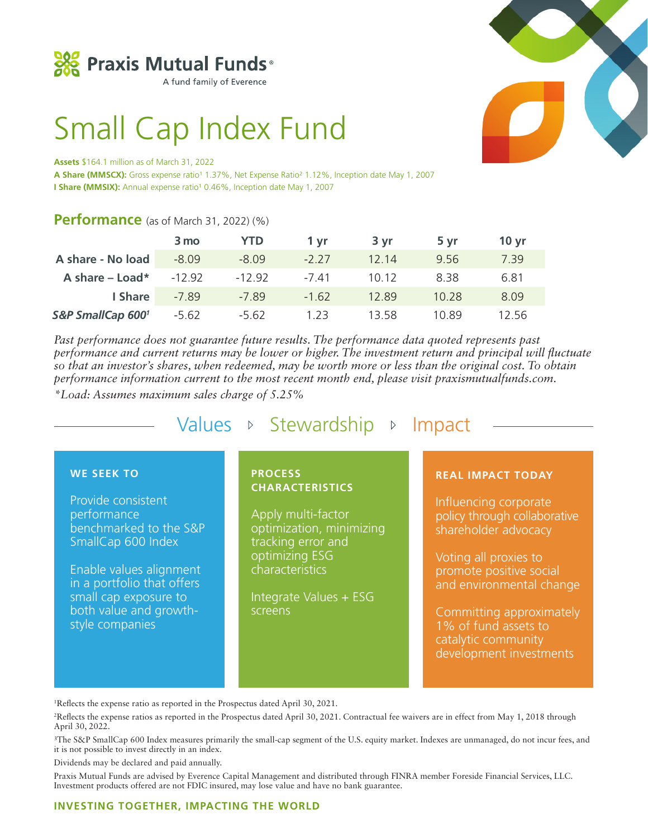

A fund family of Everence

# Small Cap Index Fund

#### **Assets** \$164.1 million as of March 31, 2022

A Share (MMSCX): Gross expense ratio<sup>1</sup> 1.37%, Net Expense Ratio<sup>2</sup> 1.12%, Inception date May 1, 2007 **I Share (MMSIX):** Annual expense ratio<sup>1</sup> 0.46%, Inception date May 1, 2007

# **Performance** (as of March 31, 2022) (%)

|                   | 3 mo     | <b>YTD</b> | 1 vr    | 3 yr  | 5 yr  | 10 <sub>yr</sub> |
|-------------------|----------|------------|---------|-------|-------|------------------|
| A share - No load | $-8.09$  | $-8.09$    | $-2.27$ | 12.14 | 9.56  | 7.39             |
| A share $-$ Load* | $-12.92$ | $-12.92$   | $-741$  | 10.12 | 8.38  | 6.81             |
| I Share           | $-7.89$  | $-7.89$    | $-1.62$ | 12.89 | 10.28 | 8.09             |
| S&P SmallCap 6001 | $-5.62$  | $-5.62$    | 1 23    | 13.58 | 10.89 | 12 56            |

*Past performance does not guarantee future results. The performance data quoted represents past performance and current returns may be lower or higher. The investment return and principal will fluctuate so that an investor's shares, when redeemed, may be worth more or less than the original cost. To obtain performance information current to the most recent month end, please visit praxismutualfunds.com.* 

*\*Load: Assumes maximum sales charge of 5.25%*

Values  $\triangleright$  Stewardship  $\triangleright$  Impact

## **WE SEEK TO**

Provide consistent performance benchmarked to the S&P SmallCap 600 Index

Enable values alignment in a portfolio that offers small cap exposure to both value and growthstyle companies

## **PROCESS CHARACTERISTICS**

Apply multi-factor optimization, minimizing tracking error and optimizing ESG characteristics

Integrate Values + ESG screens

#### **REAL IMPACT TODAY**

Influencing corporate policy through collaborative shareholder advocacy

Voting all proxies to promote positive social and environmental change

Committing approximately 1% of fund assets to catalytic community development investments

1 Reflects the expense ratio as reported in the Prospectus dated April 30, 2021.

2 Reflects the expense ratios as reported in the Prospectus dated April 30, 2021. Contractual fee waivers are in effect from May 1, 2018 through April 30, 2022.

3The S&P SmallCap 600 Index measures primarily the small-cap segment of the U.S. equity market. Indexes are unmanaged, do not incur fees, and it is not possible to invest directly in an index.

Dividends may be declared and paid annually.

Praxis Mutual Funds are advised by Everence Capital Management and distributed through FINRA member Foreside Financial Services, LLC. Investment products offered are not FDIC insured, may lose value and have no bank guarantee.